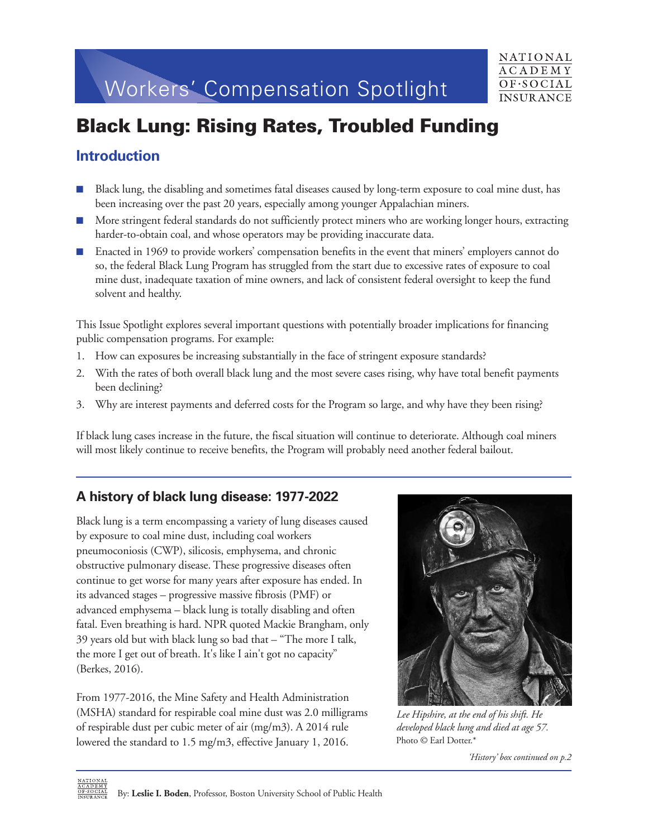# Workers' Compensation Spotlight



## **Black Lung: Rising Rates, Troubled Funding**

## **Introduction**

- n Black lung, the disabling and sometimes fatal diseases caused by long-term exposure to coal mine dust, has been increasing over the past 20 years, especially among younger Appalachian miners.
- n More stringent federal standards do not sufficiently protect miners who are working longer hours, extracting harder-to-obtain coal, and whose operators may be providing inaccurate data.
- Enacted in 1969 to provide workers' compensation benefits in the event that miners' employers cannot do so, the federal Black Lung Program has struggled from the start due to excessive rates of exposure to coal mine dust, inadequate taxation of mine owners, and lack of consistent federal oversight to keep the fund solvent and healthy.

This Issue Spotlight explores several important questions with potentially broader implications for financing public compensation programs. For example:

- 1. How can exposures be increasing substantially in the face of stringent exposure standards?
- 2. With the rates of both overall black lung and the most severe cases rising, why have total benefit payments been declining?
- 3. Why are interest payments and deferred costs for the Program so large, and why have they been rising?

If black lung cases increase in the future, the fiscal situation will continue to deteriorate. Although coal miners will most likely continue to receive benefits, the Program will probably need another federal bailout.

## **A history of black lung disease: 1977-2022**

Black lung is a term encompassing a variety of lung diseases caused by exposure to coal mine dust, including coal workers pneumoconiosis (CWP), silicosis, emphysema, and chronic obstructive pulmonary disease. These progressive diseases often continue to get worse for many years after exposure has ended. In its advanced stages – progressive massive fibrosis (PMF) or advanced emphysema – black lung is totally disabling and often fatal. Even breathing is hard. NPR quoted Mackie Brangham, only 39 years old but with black lung so bad that – "The more I talk, the more I get out of breath. It's like I ain't got no capacity" (Berkes, 2016).

From 1977-2016, the Mine Safety and Health Administration (MSHA) standard for respirable coal mine dust was 2.0 milligrams of respirable dust per cubic meter of air (mg/m3). A 2014 rule lowered the standard to 1.5 mg/m3, effective January 1, 2016.



*Lee Hipshire, at the end of his shift. He developed black lung and died at age 57.* Photo © Earl Dotter.\*

*'History' box continued on p.2*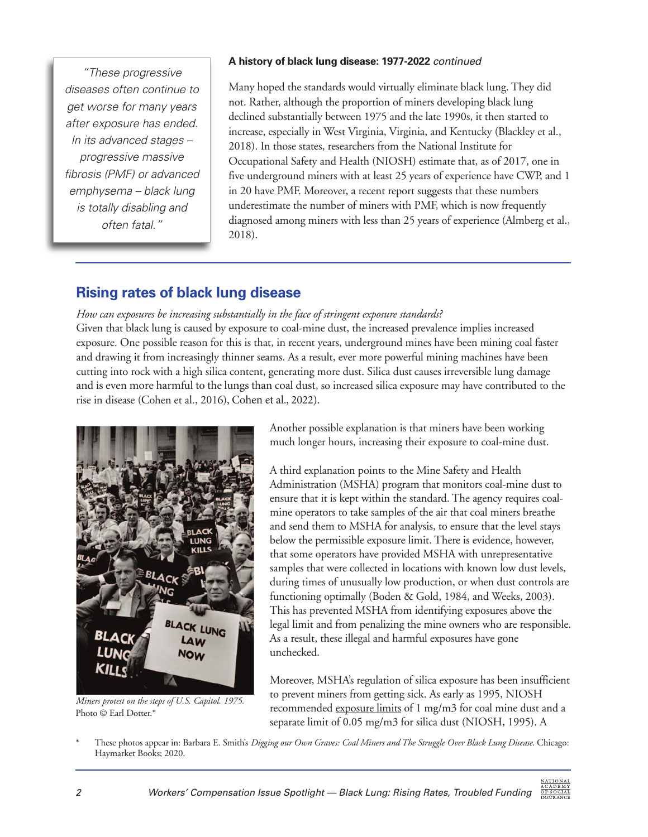"These progressive diseases often continue to get worse for many years after exposure has ended. In its advanced stages – progressive massive fibrosis (PMF) or advanced emphysema – black lung is totally disabling and often fatal."

#### **A history of black lung disease: 1977-2022** continued

Many hoped the standards would virtually eliminate black lung. They did not. Rather, although the proportion of miners developing black lung declined substantially between 1975 and the late 1990s, it then started to increase, especially in West Virginia, Virginia, and Kentucky (Blackley et al., 2018). In those states, researchers from the National Institute for Occupational Safety and Health (NIOSH) estimate that, as of 2017, one in five underground miners with at least 25 years of experience have CWP, and 1 in 20 have PMF. Moreover, a recent report suggests that these numbers underestimate the number of miners with PMF, which is now frequently diagnosed among miners with less than 25 years of experience (Almberg et al., 2018).

## **Rising rates of black lung disease**

#### *How can exposures be increasing substantially in the face of stringent exposure standards?*

Given that black lung is caused by exposure to coal-mine dust, the increased prevalence implies increased exposure. One possible reason for this is that, in recent years, underground mines have been mining coal faster and drawing it from increasingly thinner seams. As a result, ever more powerful mining machines have been cutting into rock with a high silica content, generating more dust. Silica dust causes irreversible lung damage and is even more harmful to the lungs than coal dust, so increased silica exposure may have contributed to the rise in disease (Cohen et al., 2016), Cohen et al., 2022).



*Miners protest on the steps of U.S. Capitol. 1975.* Photo © Earl Dotter.\*

Another possible explanation is that miners have been working much longer hours, increasing their exposure to coal-mine dust.

A third explanation points to the Mine Safety and Health Administration (MSHA) program that monitors coal-mine dust to ensure that it is kept within the standard. The agency requires coalmine operators to take samples of the air that coal miners breathe and send them to MSHA for analysis, to ensure that the level stays below the permissible exposure limit. There is evidence, however, that some operators have provided MSHA with unrepresentative samples that were collected in locations with known low dust levels, during times of unusually low production, or when dust controls are functioning optimally (Boden & Gold, 1984, and Weeks, 2003). This has prevented MSHA from identifying exposures above the legal limit and from penalizing the mine owners who are responsible. As a result, these illegal and harmful exposures have gone unchecked.

Moreover, MSHA's regulation of silica exposure has been insufficient to prevent miners from getting sick. As early as 1995, NIOSH recommended [exposure limits o](https://www.cdc.gov/niosh/docs/95-106/)f 1 mg/m3 for coal mine dust and a separate limit of 0.05 mg/m3 for silica dust (NIOSH, 1995). A

\* These photos appear in: Barbara E. Smith's *Digging our Own Graves: Coal Miners and The Struggle Over Black Lung Disease*. Chicago: Haymarket Books; 2020.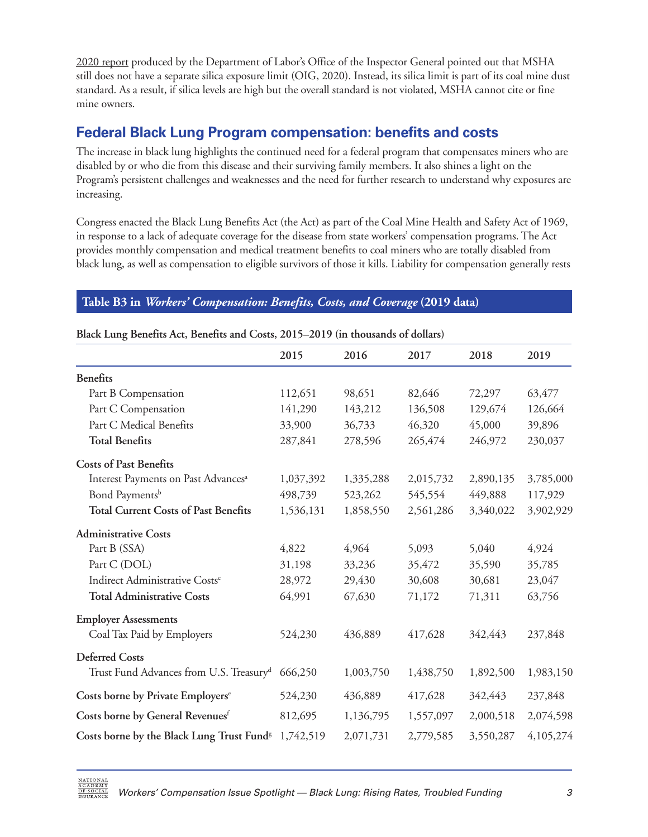[2020 report p](https://www.oig.dol.gov/public/reports/oa/2021/05-21-001-06-001.pdf)roduced by the Department of Labor's Office of the Inspector General pointed out that MSHA still does not have a separate silica exposure limit (OIG, 2020). Instead, its silica limit is part of its coal mine dust standard. As a result, if silica levels are high but the overall standard is not violated, MSHA cannot cite or fine mine owners.

## **Federal Black Lung Program compensation: benefits and costs**

The increase in black lung highlights the continued need for a federal program that compensates miners who are disabled by or who die from this disease and their surviving family members. It also shines a light on the Program's persistent challenges and weaknesses and the need for further research to understand why exposures are increasing.

Congress enacted the Black Lung Benefits Act (the Act) as part of the Coal Mine Health and Safety Act of 1969, in response to a lack of adequate coverage for the disease from state workers' compensation programs. The Act provides monthly compensation and medical treatment benefits to coal miners who are totally disabled from black lung, as well as compensation to eligible survivors of those it kills. Liability for compensation generally rests

#### **Table B3 in** *[Workers' Compensation: Benefits, Costs, and Coverage](https://www.nasi.org/research/workers-compensation/workers-compensation-benefits-costs-and-coverage/)* **(2019 data)**

|                                                                 | 2015      | 2016      | 2017      | 2018      | 2019      |
|-----------------------------------------------------------------|-----------|-----------|-----------|-----------|-----------|
| <b>Benefits</b>                                                 |           |           |           |           |           |
| Part B Compensation                                             | 112,651   | 98,651    | 82,646    | 72,297    | 63,477    |
| Part C Compensation                                             | 141,290   | 143,212   | 136,508   | 129,674   | 126,664   |
| Part C Medical Benefits                                         | 33,900    | 36,733    | 46,320    | 45,000    | 39,896    |
| <b>Total Benefits</b>                                           | 287,841   | 278,596   | 265,474   | 246,972   | 230,037   |
| <b>Costs of Past Benefits</b>                                   |           |           |           |           |           |
| Interest Payments on Past Advances <sup>a</sup>                 | 1,037,392 | 1,335,288 | 2,015,732 | 2,890,135 | 3,785,000 |
| Bond Payments <sup>b</sup>                                      | 498,739   | 523,262   | 545,554   | 449,888   | 117,929   |
| <b>Total Current Costs of Past Benefits</b>                     | 1,536,131 | 1,858,550 | 2,561,286 | 3,340,022 | 3,902,929 |
| <b>Administrative Costs</b>                                     |           |           |           |           |           |
| Part B (SSA)                                                    | 4,822     | 4,964     | 5,093     | 5,040     | 4,924     |
| Part C (DOL)                                                    | 31,198    | 33,236    | 35,472    | 35,590    | 35,785    |
| Indirect Administrative Costs <sup>c</sup>                      | 28,972    | 29,430    | 30,608    | 30,681    | 23,047    |
| <b>Total Administrative Costs</b>                               | 64,991    | 67,630    | 71,172    | 71,311    | 63,756    |
| <b>Employer Assessments</b>                                     |           |           |           |           |           |
| Coal Tax Paid by Employers                                      | 524,230   | 436,889   | 417,628   | 342,443   | 237,848   |
| <b>Deferred Costs</b>                                           |           |           |           |           |           |
| Trust Fund Advances from U.S. Treasury <sup>d</sup> 666,250     |           | 1,003,750 | 1,438,750 | 1,892,500 | 1,983,150 |
| Costs borne by Private Employers <sup>e</sup>                   | 524,230   | 436,889   | 417,628   | 342,443   | 237,848   |
| Costs borne by General Revenues <sup>f</sup>                    | 812,695   | 1,136,795 | 1,557,097 | 2,000,518 | 2,074,598 |
| Costs borne by the Black Lung Trust Fund <sup>g</sup> 1,742,519 |           | 2,071,731 | 2,779,585 | 3,550,287 | 4,105,274 |

#### **Black Lung Benefits Act, Benefits and Costs, 2015–2019 (in thousands of dollars)**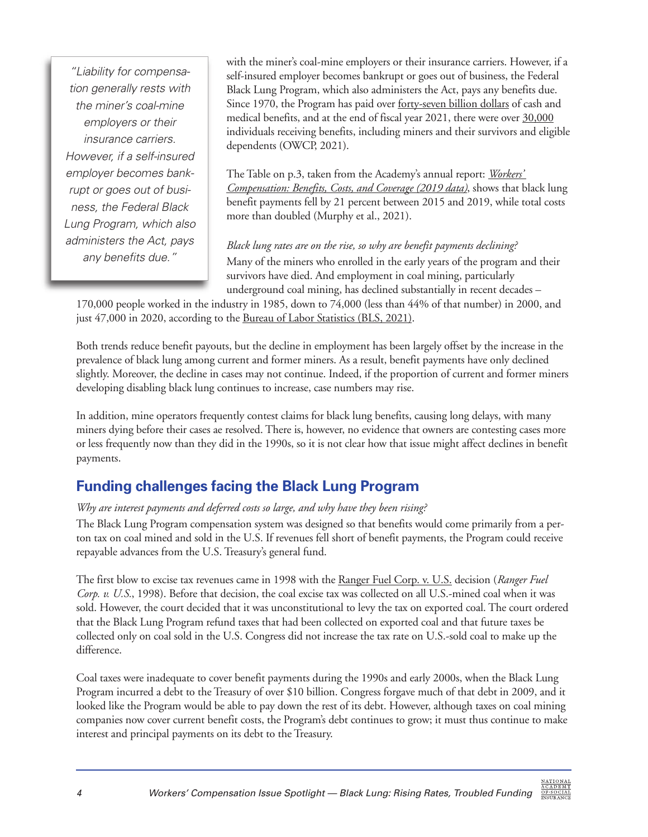"Liability for compensation generally rests with the miner's coal-mine employers or their insurance carriers. However, if a self-insured employer becomes bankrupt or goes out of business, the Federal Black Lung Program, which also administers the Act, pays any benefits due."

with the miner's coal-mine employers or their insurance carriers. However, if a self-insured employer becomes bankrupt or goes out of business, the Federal Black Lung Program, which also administers the Act, pays any benefits due. Since 1970, the Program has paid over [forty-seven billion dollars](https://www.dol.gov/agencies/owcp/dcmwc/statistics/TotalBenefitsPayment) of cash and medical benefits, and at the end of fiscal year 2021, there were over [30,000](https://www.dol.gov/agencies/owcp/dcmwc/statistics/PartsBandCBeneficiaries) individuals receiving benefits, including miners and their survivors and eligible dependents (OWCP, 2021).

The Table on p.3, taken from the Academy's annual report: *[Workers'](https://www.nasi.org/research/workers-compensation/workers-compensation-benefits-costs-and-coverage/) [Compensation: Benefits, Costs, and Coverage \(2019 data\)](https://www.nasi.org/research/workers-compensation/workers-compensation-benefits-costs-and-coverage/)*, shows that black lung benefit payments fell by 21 percent between 2015 and 2019, while total costs more than doubled (Murphy et al., 2021).

*Black lung rates are on the rise, so why are benefit payments declining?* Many of the miners who enrolled in the early years of the program and their survivors have died. And employment in coal mining, particularly underground coal mining, has declined substantially in recent decades –

170,000 people worked in the industry in 1985, down to 74,000 (less than 44% of that number) in 2000, and just 47,000 in 2020, according to the Bureau of Labor Statistics (BLS, 2021).

Both trends reduce benefit payouts, but the decline in employment has been largely offset by the increase in the prevalence of black lung among current and former miners. As a result, benefit payments have only declined slightly. Moreover, the decline in cases may not continue. Indeed, if the proportion of current and former miners developing disabling black lung continues to increase, case numbers may rise.

In addition, mine operators frequently contest claims for black lung benefits, causing long delays, with many miners dying before their cases ae resolved. There is, however, no evidence that owners are contesting cases more or less frequently now than they did in the 1990s, so it is not clear how that issue might affect declines in benefit payments.

## **Funding challenges facing the Black Lung Program**

#### *Why are interest payments and deferred costs so large, and why have they been rising?*

The Black Lung Program compensation system was designed so that benefits would come primarily from a perton tax on coal mined and sold in the U.S. If revenues fell short of benefit payments, the Program could receive repayable advances from the U.S. Treasury's general fund.

The first blow to excise tax revenues came in 1998 with th[e Ranger Fuel Corp. v. U.S.](https://casetext.com/case/ranger-fuel-corp-v-us) decision (*Ranger Fuel Corp. v. U.S.*, 1998). Before that decision, the coal excise tax was collected on all U.S.-mined coal when it was sold. However, the court decided that it was unconstitutional to levy the tax on exported coal. The court ordered that the Black Lung Program refund taxes that had been collected on exported coal and that future taxes be collected only on coal sold in the U.S. Congress did not increase the tax rate on U.S.-sold coal to make up the difference.

Coal taxes were inadequate to cover benefit payments during the 1990s and early 2000s, when the Black Lung Program incurred a debt to the Treasury of over \$10 billion. Congress forgave much of that debt in 2009, and it looked like the Program would be able to pay down the rest of its debt. However, although taxes on coal mining companies now cover current benefit costs, the Program's debt continues to grow; it must thus continue to make interest and principal payments on its debt to the Treasury.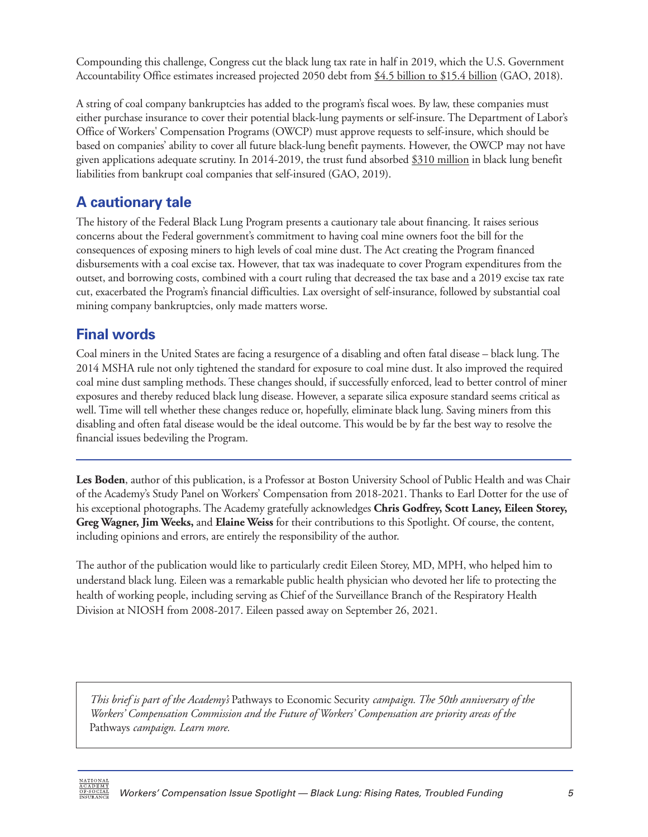Compounding this challenge, Congress cut the black lung tax rate in half in 2019, which the U.S. Government Accountability Office estimates increased projected 2050 debt from [\\$4.5 billion to \\$15.4 billion \(](https://www.gao.gov/products/gao-18-351)GAO, 2018).

A string of coal company bankruptcies has added to the program's fiscal woes. By law, these companies must either purchase insurance to cover their potential black-lung payments or self-insure. The Department of Labor's Office of Workers' Compensation Programs (OWCP) must approve requests to self-insure, which should be based on companies' ability to cover all future black-lung benefit payments. However, the OWCP may not have given applications adequate scrutiny. In 2014-2019, the trust fund absorbed [\\$310 million i](https://www.gao.gov/products/gao-19-622t)n black lung benefit liabilities from bankrupt coal companies that self-insured (GAO, 2019).

## **A cautionary tale**

The history of the Federal Black Lung Program presents a cautionary tale about financing. It raises serious concerns about the Federal government's commitment to having coal mine owners foot the bill for the consequences of exposing miners to high levels of coal mine dust. The Act creating the Program financed disbursements with a coal excise tax. However, that tax was inadequate to cover Program expenditures from the outset, and borrowing costs, combined with a court ruling that decreased the tax base and a 2019 excise tax rate cut, exacerbated the Program's financial difficulties. Lax oversight of self-insurance, followed by substantial coal mining company bankruptcies, only made matters worse.

## **Final words**

Coal miners in the United States are facing a resurgence of a disabling and often fatal disease – black lung. The 2014 MSHA rule not only tightened the standard for exposure to coal mine dust. It also improved the required coal mine dust sampling methods. These changes should, if successfully enforced, lead to better control of miner exposures and thereby reduced black lung disease. However, a separate silica exposure standard seems critical as well. Time will tell whether these changes reduce or, hopefully, eliminate black lung. Saving miners from this disabling and often fatal disease would be the ideal outcome. This would be by far the best way to resolve the financial issues bedeviling the Program.

**Les Boden**, author of this publication, is a Professor at Boston University School of Public Health and was Chair of the Academy's Study Panel on Workers' Compensation from 2018-2021. Thanks to Earl Dotter for the use of his exceptional photographs. The Academy gratefully acknowledges **Chris Godfrey, Scott Laney, Eileen Storey, Greg Wagner, Jim Weeks,** and **Elaine Weiss** for their contributions to this Spotlight. Of course, the content, including opinions and errors, are entirely the responsibility of the author.

The author of the publication would like to particularly credit Eileen Storey, MD, MPH, who helped him to understand black lung. Eileen was a remarkable public health physician who devoted her life to protecting the health of working people, including serving as Chief of the Surveillance Branch of the Respiratory Health Division at NIOSH from 2008-2017. Eileen passed away on September 26, 2021.

*This brief is part of the Academy's* Pathways to Economic Security *campaign. The 50th anniversary of the Workers' Compensation Commission and the Future of Workers' Compensation are priority areas of the* Pathways *campaign. Learn more.*